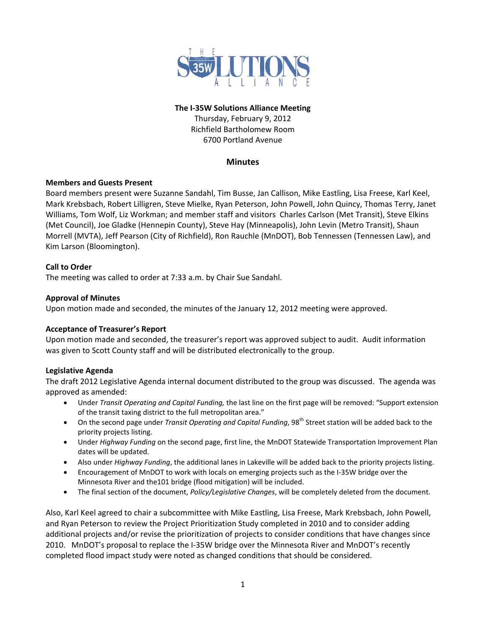

## **The I‐35W Solutions Alliance Meeting** Thursday, February 9, 2012 Richfield Bartholomew Room 6700 Portland Avenue

# **Minutes**

# **Members and Guests Present**

Board members present were Suzanne Sandahl, Tim Busse, Jan Callison, Mike Eastling, Lisa Freese, Karl Keel, Mark Krebsbach, Robert Lilligren, Steve Mielke, Ryan Peterson, John Powell, John Quincy, Thomas Terry, Janet Williams, Tom Wolf, Liz Workman; and member staff and visitors Charles Carlson (Met Transit), Steve Elkins (Met Council), Joe Gladke (Hennepin County), Steve Hay (Minneapolis), John Levin (Metro Transit), Shaun Morrell (MVTA), Jeff Pearson (City of Richfield), Ron Rauchle (MnDOT), Bob Tennessen (Tennessen Law), and Kim Larson (Bloomington).

## **Call to Order**

The meeting was called to order at 7:33 a.m. by Chair Sue Sandahl.

## **Approval of Minutes**

Upon motion made and seconded, the minutes of the January 12, 2012 meeting were approved.

### **Acceptance of Treasurer's Report**

Upon motion made and seconded, the treasurer's report was approved subject to audit. Audit information was given to Scott County staff and will be distributed electronically to the group.

### **Legislative Agenda**

The draft 2012 Legislative Agenda internal document distributed to the group was discussed. The agenda was approved as amended:

- Under *Transit Operating and Capital Funding,* the last line on the first page will be removed: "Support extension of the transit taxing district to the full metropolitan area."
- On the second page under *Transit Operating and Capital Funding*, 98th Street station will be added back to the priority projects listing.
- Under *Highway Funding* on the second page, first line, the MnDOT Statewide Transportation Improvement Plan dates will be updated.
- Also under *Highway Funding*, the additional lanes in Lakeville will be added back to the priority projects listing.
- Encouragement of MnDOT to work with locals on emerging projects such as the I‐35W bridge over the Minnesota River and the101 bridge (flood mitigation) will be included.
- The final section of the document, *Policy/Legislative Changes*, will be completely deleted from the document.

Also, Karl Keel agreed to chair a subcommittee with Mike Eastling, Lisa Freese, Mark Krebsbach, John Powell, and Ryan Peterson to review the Project Prioritization Study completed in 2010 and to consider adding additional projects and/or revise the prioritization of projects to consider conditions that have changes since 2010. MnDOT's proposal to replace the I-35W bridge over the Minnesota River and MnDOT's recently completed flood impact study were noted as changed conditions that should be considered.